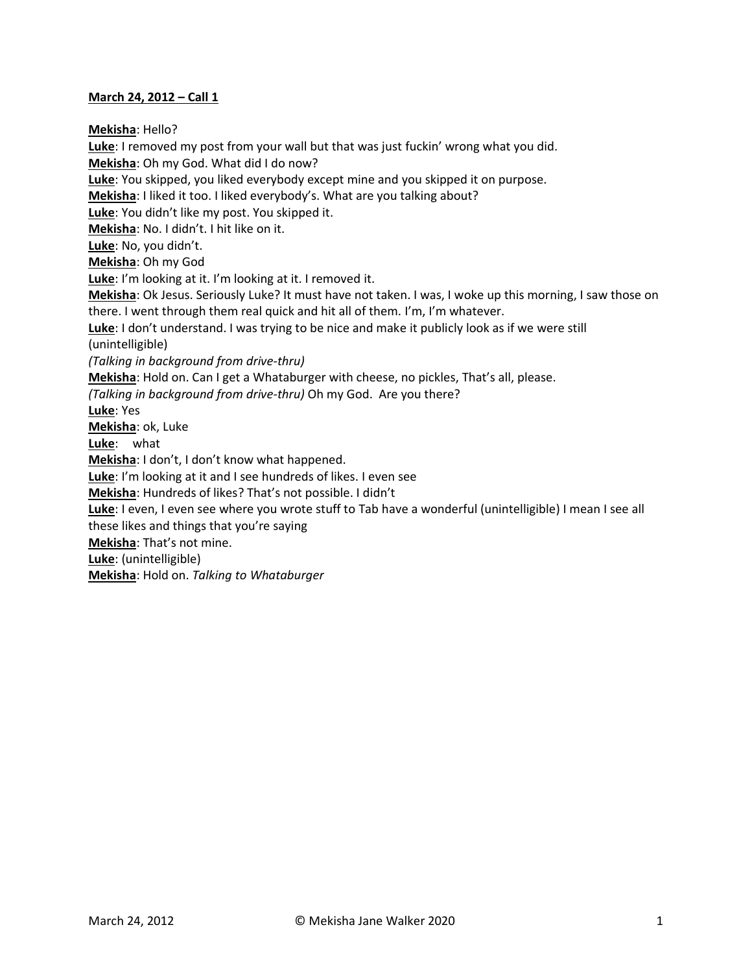#### **March 24, 2012 – Call 1**

**Mekisha**: Hello? **Luke**: I removed my post from your wall but that was just fuckin' wrong what you did. **Mekisha**: Oh my God. What did I do now? **Luke**: You skipped, you liked everybody except mine and you skipped it on purpose. **Mekisha**: I liked it too. I liked everybody's. What are you talking about? **Luke**: You didn't like my post. You skipped it. **Mekisha**: No. I didn't. I hit like on it. **Luke**: No, you didn't. **Mekisha**: Oh my God **Luke**: I'm looking at it. I'm looking at it. I removed it. **Mekisha**: Ok Jesus. Seriously Luke? It must have not taken. I was, I woke up this morning, I saw those on there. I went through them real quick and hit all of them. I'm, I'm whatever. **Luke**: I don't understand. I was trying to be nice and make it publicly look as if we were still (unintelligible) *(Talking in background from drive-thru)* **Mekisha**: Hold on. Can I get a Whataburger with cheese, no pickles, That's all, please. *(Talking in background from drive-thru)* Oh my God. Are you there? **Luke**: Yes **Mekisha**: ok, Luke **Luke**: what **Mekisha**: I don't, I don't know what happened. **Luke**: I'm looking at it and I see hundreds of likes. I even see **Mekisha**: Hundreds of likes? That's not possible. I didn't **Luke**: I even, I even see where you wrote stuff to Tab have a wonderful (unintelligible) I mean I see all these likes and things that you're saying **Mekisha**: That's not mine. **Luke**: (unintelligible) **Mekisha**: Hold on. *Talking to Whataburger*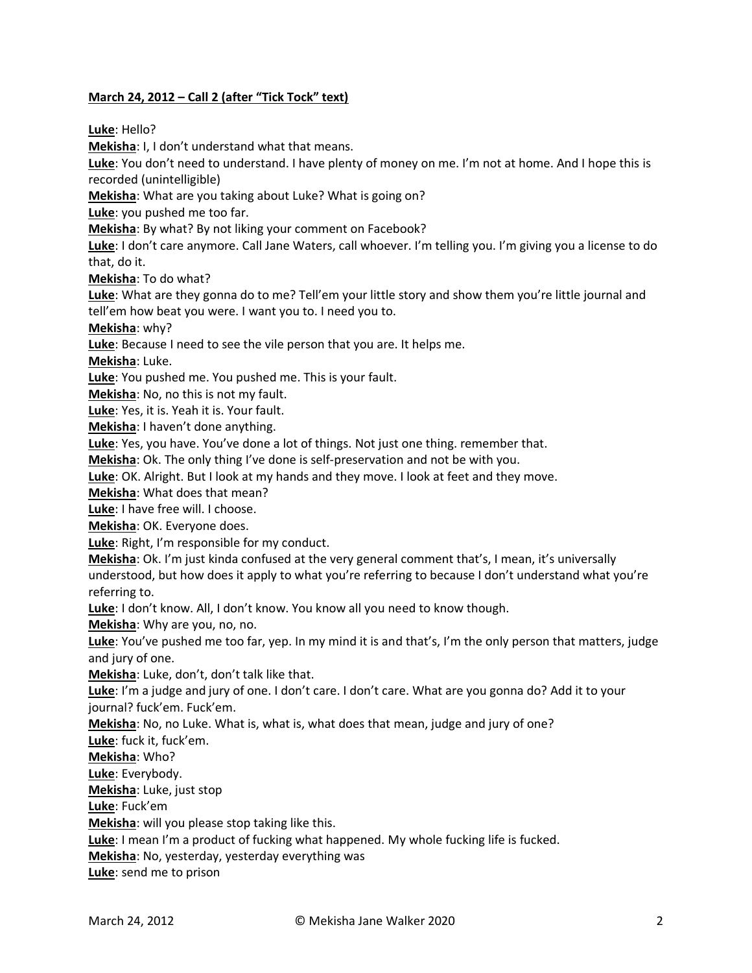# **March 24, 2012 – Call 2 (after "Tick Tock" text)**

**Luke**: Hello?

**Mekisha**: I, I don't understand what that means.

**Luke**: You don't need to understand. I have plenty of money on me. I'm not at home. And I hope this is recorded (unintelligible)

**Mekisha**: What are you taking about Luke? What is going on?

**Luke**: you pushed me too far.

**Mekisha**: By what? By not liking your comment on Facebook?

**Luke**: I don't care anymore. Call Jane Waters, call whoever. I'm telling you. I'm giving you a license to do that, do it.

**Mekisha**: To do what?

**Luke**: What are they gonna do to me? Tell'em your little story and show them you're little journal and tell'em how beat you were. I want you to. I need you to.

**Mekisha**: why?

**Luke**: Because I need to see the vile person that you are. It helps me.

**Mekisha**: Luke.

**Luke**: You pushed me. You pushed me. This is your fault.

**Mekisha**: No, no this is not my fault.

**Luke**: Yes, it is. Yeah it is. Your fault.

**Mekisha**: I haven't done anything.

**Luke**: Yes, you have. You've done a lot of things. Not just one thing. remember that.

**Mekisha**: Ok. The only thing I've done is self-preservation and not be with you.

**Luke**: OK. Alright. But I look at my hands and they move. I look at feet and they move.

**Mekisha**: What does that mean?

**Luke**: I have free will. I choose.

**Mekisha**: OK. Everyone does.

**Luke**: Right, I'm responsible for my conduct.

**Mekisha**: Ok. I'm just kinda confused at the very general comment that's, I mean, it's universally understood, but how does it apply to what you're referring to because I don't understand what you're referring to.

**Luke**: I don't know. All, I don't know. You know all you need to know though.

**Mekisha**: Why are you, no, no.

**Luke**: You've pushed me too far, yep. In my mind it is and that's, I'm the only person that matters, judge and jury of one.

**Mekisha**: Luke, don't, don't talk like that.

Luke: I'm a judge and jury of one. I don't care. I don't care. What are you gonna do? Add it to your journal? fuck'em. Fuck'em.

**Mekisha**: No, no Luke. What is, what is, what does that mean, judge and jury of one?

**Luke**: fuck it, fuck'em.

**Mekisha**: Who?

**Luke**: Everybody.

**Mekisha**: Luke, just stop

**Luke**: Fuck'em

**Mekisha**: will you please stop taking like this.

**Luke**: I mean I'm a product of fucking what happened. My whole fucking life is fucked.

**Mekisha**: No, yesterday, yesterday everything was

**Luke**: send me to prison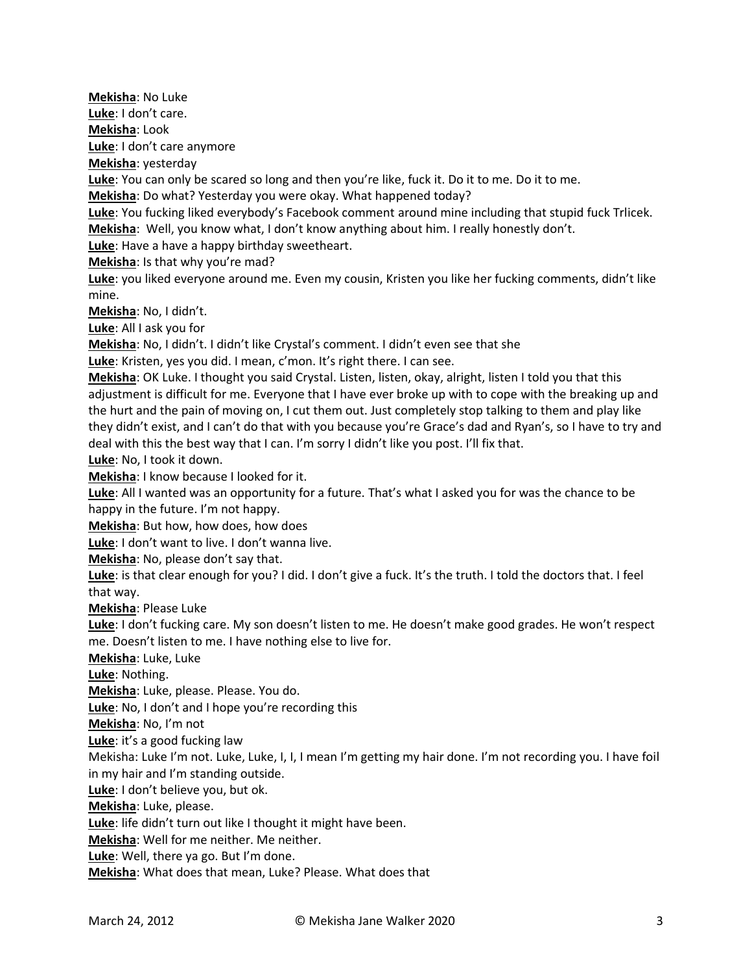**Mekisha**: No Luke **Luke**: I don't care. **Mekisha**: Look **Luke**: I don't care anymore **Mekisha**: yesterday **Luke**: You can only be scared so long and then you're like, fuck it. Do it to me. Do it to me. **Mekisha**: Do what? Yesterday you were okay. What happened today? **Luke**: You fucking liked everybody's Facebook comment around mine including that stupid fuck Trlicek. **Mekisha**: Well, you know what, I don't know anything about him. I really honestly don't. **Luke**: Have a have a happy birthday sweetheart. **Mekisha**: Is that why you're mad? **Luke**: you liked everyone around me. Even my cousin, Kristen you like her fucking comments, didn't like mine. **Mekisha**: No, I didn't. **Luke**: All I ask you for **Mekisha**: No, I didn't. I didn't like Crystal's comment. I didn't even see that she **Luke**: Kristen, yes you did. I mean, c'mon. It's right there. I can see. **Mekisha**: OK Luke. I thought you said Crystal. Listen, listen, okay, alright, listen I told you that this adjustment is difficult for me. Everyone that I have ever broke up with to cope with the breaking up and the hurt and the pain of moving on, I cut them out. Just completely stop talking to them and play like they didn't exist, and I can't do that with you because you're Grace's dad and Ryan's, so I have to try and deal with this the best way that I can. I'm sorry I didn't like you post. I'll fix that. **Luke**: No, I took it down. **Mekisha**: I know because I looked for it. **Luke**: All I wanted was an opportunity for a future. That's what I asked you for was the chance to be happy in the future. I'm not happy. **Mekisha**: But how, how does, how does **Luke**: I don't want to live. I don't wanna live. **Mekisha**: No, please don't say that. **Luke**: is that clear enough for you? I did. I don't give a fuck. It's the truth. I told the doctors that. I feel that way. **Mekisha**: Please Luke **Luke**: I don't fucking care. My son doesn't listen to me. He doesn't make good grades. He won't respect me. Doesn't listen to me. I have nothing else to live for. **Mekisha**: Luke, Luke **Luke**: Nothing. **Mekisha**: Luke, please. Please. You do. **Luke**: No, I don't and I hope you're recording this **Mekisha**: No, I'm not **Luke**: it's a good fucking law Mekisha: Luke I'm not. Luke, Luke, I, I, I mean I'm getting my hair done. I'm not recording you. I have foil in my hair and I'm standing outside. **Luke**: I don't believe you, but ok. **Mekisha**: Luke, please. **Luke**: life didn't turn out like I thought it might have been. **Mekisha**: Well for me neither. Me neither. **Luke**: Well, there ya go. But I'm done. **Mekisha**: What does that mean, Luke? Please. What does that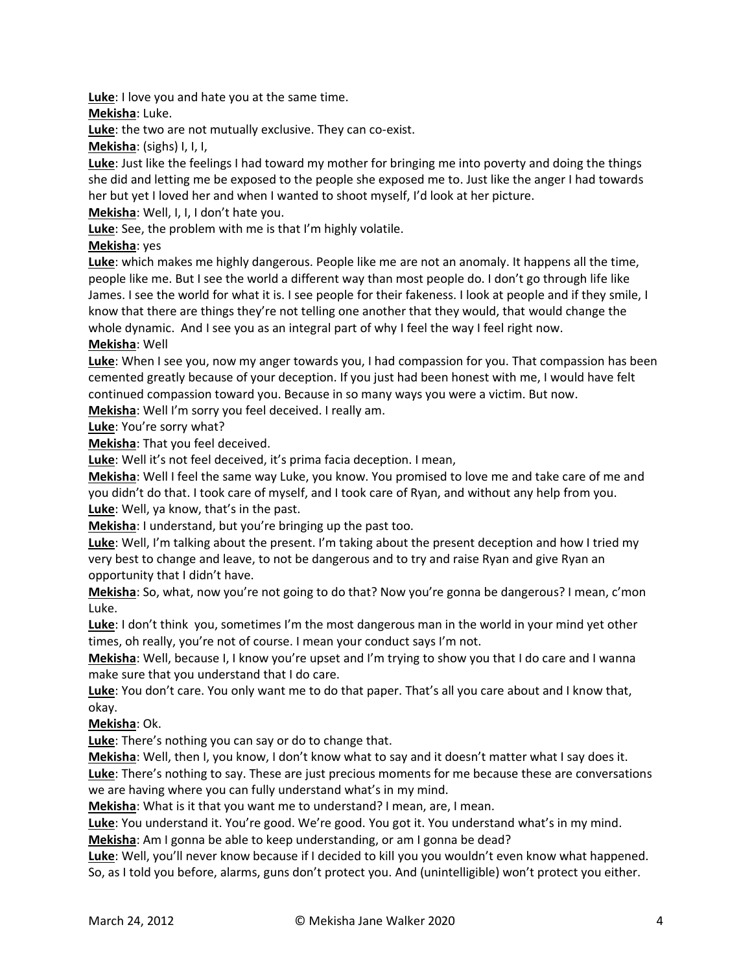**Luke**: I love you and hate you at the same time.

**Mekisha**: Luke.

**Luke**: the two are not mutually exclusive. They can co-exist.

**Mekisha**: (sighs) I, I, I,

**Luke**: Just like the feelings I had toward my mother for bringing me into poverty and doing the things she did and letting me be exposed to the people she exposed me to. Just like the anger I had towards her but yet I loved her and when I wanted to shoot myself, I'd look at her picture.

**Mekisha**: Well, I, I, I don't hate you.

**Luke**: See, the problem with me is that I'm highly volatile.

**Mekisha**: yes

**Luke**: which makes me highly dangerous. People like me are not an anomaly. It happens all the time, people like me. But I see the world a different way than most people do. I don't go through life like James. I see the world for what it is. I see people for their fakeness. I look at people and if they smile, I know that there are things they're not telling one another that they would, that would change the whole dynamic. And I see you as an integral part of why I feel the way I feel right now. **Mekisha**: Well

**Luke**: When I see you, now my anger towards you, I had compassion for you. That compassion has been cemented greatly because of your deception. If you just had been honest with me, I would have felt continued compassion toward you. Because in so many ways you were a victim. But now.

**Mekisha**: Well I'm sorry you feel deceived. I really am.

**Luke**: You're sorry what?

**Mekisha**: That you feel deceived.

**Luke**: Well it's not feel deceived, it's prima facia deception. I mean,

**Mekisha**: Well I feel the same way Luke, you know. You promised to love me and take care of me and you didn't do that. I took care of myself, and I took care of Ryan, and without any help from you. **Luke**: Well, ya know, that's in the past.

**Mekisha**: I understand, but you're bringing up the past too.

**Luke**: Well, I'm talking about the present. I'm taking about the present deception and how I tried my very best to change and leave, to not be dangerous and to try and raise Ryan and give Ryan an opportunity that I didn't have.

**Mekisha**: So, what, now you're not going to do that? Now you're gonna be dangerous? I mean, c'mon Luke.

**Luke**: I don't think you, sometimes I'm the most dangerous man in the world in your mind yet other times, oh really, you're not of course. I mean your conduct says I'm not.

**Mekisha**: Well, because I, I know you're upset and I'm trying to show you that I do care and I wanna make sure that you understand that I do care.

**Luke**: You don't care. You only want me to do that paper. That's all you care about and I know that, okay.

**Mekisha**: Ok.

**Luke**: There's nothing you can say or do to change that.

**Mekisha**: Well, then I, you know, I don't know what to say and it doesn't matter what I say does it. **Luke**: There's nothing to say. These are just precious moments for me because these are conversations we are having where you can fully understand what's in my mind.

**Mekisha**: What is it that you want me to understand? I mean, are, I mean.

Luke: You understand it. You're good. We're good. You got it. You understand what's in my mind.

**Mekisha**: Am I gonna be able to keep understanding, or am I gonna be dead?

**Luke**: Well, you'll never know because if I decided to kill you you wouldn't even know what happened. So, as I told you before, alarms, guns don't protect you. And (unintelligible) won't protect you either.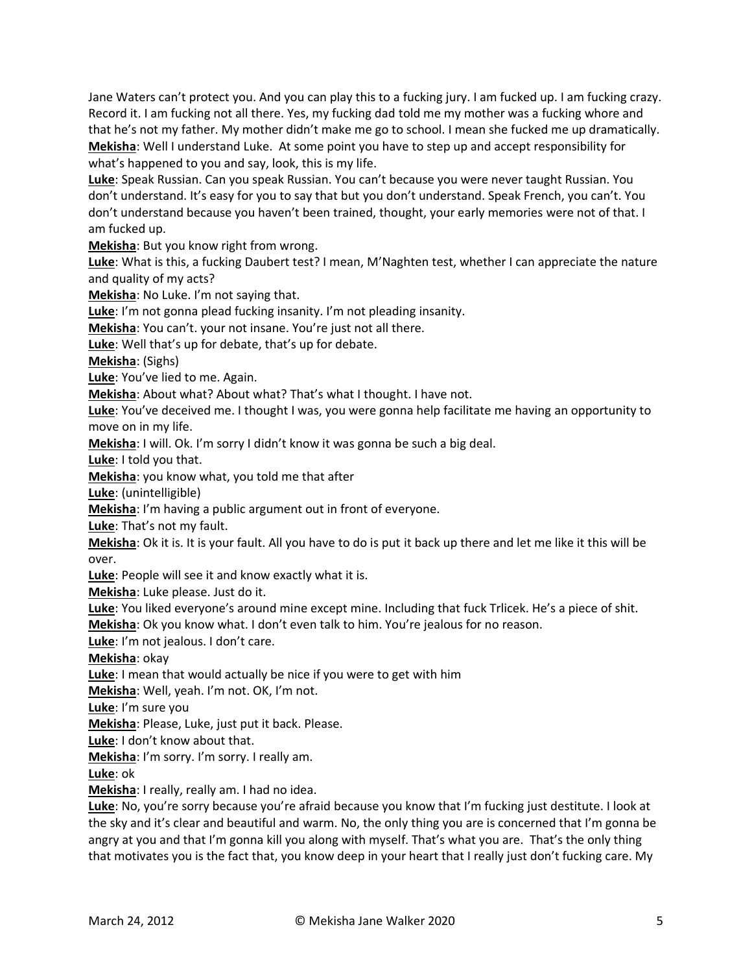Jane Waters can't protect you. And you can play this to a fucking jury. I am fucked up. I am fucking crazy. Record it. I am fucking not all there. Yes, my fucking dad told me my mother was a fucking whore and that he's not my father. My mother didn't make me go to school. I mean she fucked me up dramatically. **Mekisha**: Well I understand Luke. At some point you have to step up and accept responsibility for what's happened to you and say, look, this is my life.

**Luke**: Speak Russian. Can you speak Russian. You can't because you were never taught Russian. You don't understand. It's easy for you to say that but you don't understand. Speak French, you can't. You don't understand because you haven't been trained, thought, your early memories were not of that. I am fucked up.

**Mekisha**: But you know right from wrong.

**Luke**: What is this, a fucking Daubert test? I mean, M'Naghten test, whether I can appreciate the nature and quality of my acts?

**Mekisha**: No Luke. I'm not saying that.

**Luke**: I'm not gonna plead fucking insanity. I'm not pleading insanity.

**Mekisha**: You can't. your not insane. You're just not all there.

**Luke**: Well that's up for debate, that's up for debate.

**Mekisha**: (Sighs)

**Luke**: You've lied to me. Again.

**Mekisha**: About what? About what? That's what I thought. I have not.

**Luke**: You've deceived me. I thought I was, you were gonna help facilitate me having an opportunity to move on in my life.

**Mekisha**: I will. Ok. I'm sorry I didn't know it was gonna be such a big deal.

**Luke**: I told you that.

**Mekisha**: you know what, you told me that after

**Luke**: (unintelligible)

**Mekisha**: I'm having a public argument out in front of everyone.

**Luke**: That's not my fault.

**Mekisha**: Ok it is. It is your fault. All you have to do is put it back up there and let me like it this will be over.

**Luke**: People will see it and know exactly what it is.

**Mekisha**: Luke please. Just do it.

**Luke**: You liked everyone's around mine except mine. Including that fuck Trlicek. He's a piece of shit.

**Mekisha**: Ok you know what. I don't even talk to him. You're jealous for no reason.

**Luke**: I'm not jealous. I don't care.

**Mekisha**: okay

**Luke**: I mean that would actually be nice if you were to get with him

**Mekisha**: Well, yeah. I'm not. OK, I'm not.

**Luke**: I'm sure you

**Mekisha**: Please, Luke, just put it back. Please.

**Luke**: I don't know about that.

**Mekisha**: I'm sorry. I'm sorry. I really am.

**Luke**: ok

**Mekisha**: I really, really am. I had no idea.

**Luke**: No, you're sorry because you're afraid because you know that I'm fucking just destitute. I look at the sky and it's clear and beautiful and warm. No, the only thing you are is concerned that I'm gonna be angry at you and that I'm gonna kill you along with myself. That's what you are. That's the only thing that motivates you is the fact that, you know deep in your heart that I really just don't fucking care. My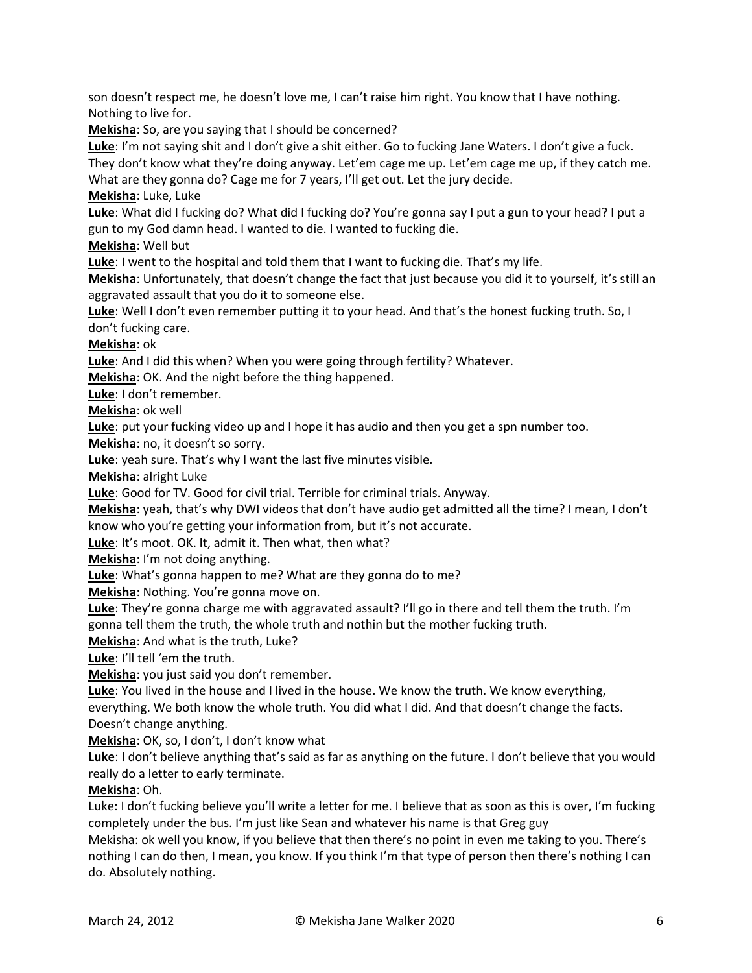son doesn't respect me, he doesn't love me, I can't raise him right. You know that I have nothing. Nothing to live for.

**Mekisha**: So, are you saying that I should be concerned?

**Luke**: I'm not saying shit and I don't give a shit either. Go to fucking Jane Waters. I don't give a fuck. They don't know what they're doing anyway. Let'em cage me up. Let'em cage me up, if they catch me. What are they gonna do? Cage me for 7 years, I'll get out. Let the jury decide.

**Mekisha**: Luke, Luke

**Luke**: What did I fucking do? What did I fucking do? You're gonna say I put a gun to your head? I put a gun to my God damn head. I wanted to die. I wanted to fucking die.

**Mekisha**: Well but

**Luke**: I went to the hospital and told them that I want to fucking die. That's my life.

**Mekisha**: Unfortunately, that doesn't change the fact that just because you did it to yourself, it's still an aggravated assault that you do it to someone else.

**Luke**: Well I don't even remember putting it to your head. And that's the honest fucking truth. So, I don't fucking care.

**Mekisha**: ok

**Luke**: And I did this when? When you were going through fertility? Whatever.

**Mekisha**: OK. And the night before the thing happened.

**Luke**: I don't remember.

**Mekisha**: ok well

**Luke**: put your fucking video up and I hope it has audio and then you get a spn number too.

**Mekisha**: no, it doesn't so sorry.

**Luke**: yeah sure. That's why I want the last five minutes visible.

**Mekisha**: alright Luke

**Luke**: Good for TV. Good for civil trial. Terrible for criminal trials. Anyway.

**Mekisha**: yeah, that's why DWI videos that don't have audio get admitted all the time? I mean, I don't know who you're getting your information from, but it's not accurate.

**Luke**: It's moot. OK. It, admit it. Then what, then what?

**Mekisha**: I'm not doing anything.

**Luke**: What's gonna happen to me? What are they gonna do to me?

**Mekisha**: Nothing. You're gonna move on.

**Luke**: They're gonna charge me with aggravated assault? I'll go in there and tell them the truth. I'm gonna tell them the truth, the whole truth and nothin but the mother fucking truth.

**Mekisha**: And what is the truth, Luke?

**Luke**: I'll tell 'em the truth.

**Mekisha**: you just said you don't remember.

**Luke**: You lived in the house and I lived in the house. We know the truth. We know everything,

everything. We both know the whole truth. You did what I did. And that doesn't change the facts. Doesn't change anything.

**Mekisha**: OK, so, I don't, I don't know what

**Luke**: I don't believe anything that's said as far as anything on the future. I don't believe that you would really do a letter to early terminate.

# **Mekisha**: Oh.

Luke: I don't fucking believe you'll write a letter for me. I believe that as soon as this is over, I'm fucking completely under the bus. I'm just like Sean and whatever his name is that Greg guy

Mekisha: ok well you know, if you believe that then there's no point in even me taking to you. There's nothing I can do then, I mean, you know. If you think I'm that type of person then there's nothing I can do. Absolutely nothing.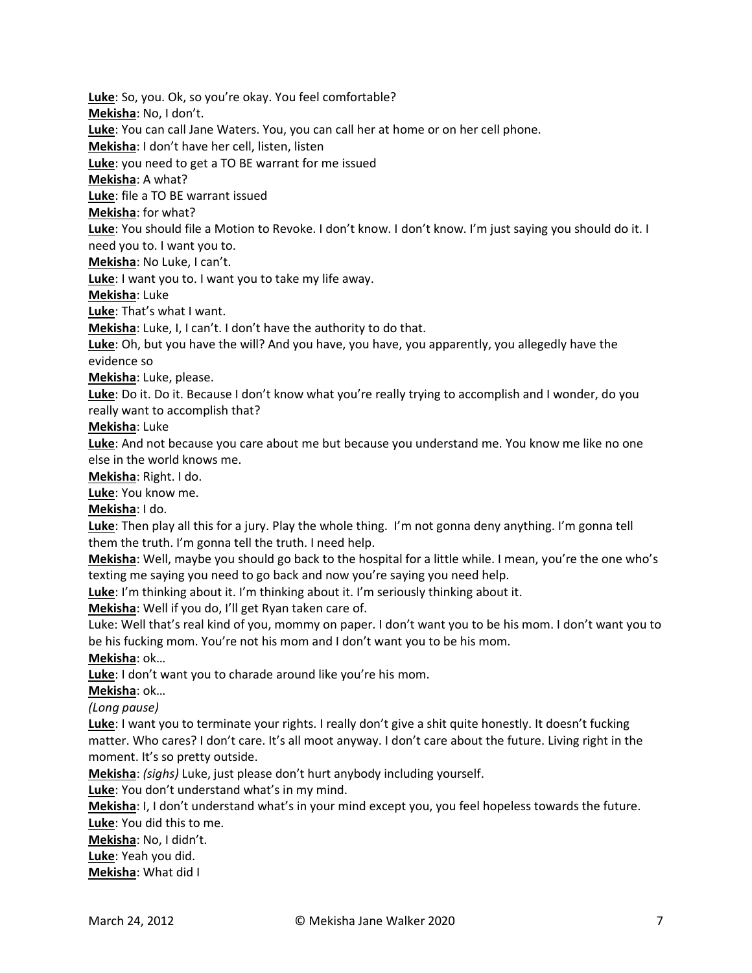**Luke**: So, you. Ok, so you're okay. You feel comfortable?

**Mekisha**: No, I don't.

**Luke**: You can call Jane Waters. You, you can call her at home or on her cell phone.

**Mekisha**: I don't have her cell, listen, listen

**Luke**: you need to get a TO BE warrant for me issued

**Mekisha**: A what?

**Luke**: file a TO BE warrant issued

**Mekisha**: for what?

**Luke**: You should file a Motion to Revoke. I don't know. I don't know. I'm just saying you should do it. I need you to. I want you to.

**Mekisha**: No Luke, I can't.

**Luke**: I want you to. I want you to take my life away.

**Mekisha**: Luke

**Luke**: That's what I want.

**Mekisha**: Luke, I, I can't. I don't have the authority to do that.

**Luke**: Oh, but you have the will? And you have, you have, you apparently, you allegedly have the evidence so

**Mekisha**: Luke, please.

**Luke**: Do it. Do it. Because I don't know what you're really trying to accomplish and I wonder, do you really want to accomplish that?

**Mekisha**: Luke

**Luke**: And not because you care about me but because you understand me. You know me like no one else in the world knows me.

**Mekisha**: Right. I do.

**Luke**: You know me.

**Mekisha**: I do.

**Luke**: Then play all this for a jury. Play the whole thing. I'm not gonna deny anything. I'm gonna tell them the truth. I'm gonna tell the truth. I need help.

**Mekisha**: Well, maybe you should go back to the hospital for a little while. I mean, you're the one who's texting me saying you need to go back and now you're saying you need help.

**Luke**: I'm thinking about it. I'm thinking about it. I'm seriously thinking about it.

**Mekisha**: Well if you do, I'll get Ryan taken care of.

Luke: Well that's real kind of you, mommy on paper. I don't want you to be his mom. I don't want you to be his fucking mom. You're not his mom and I don't want you to be his mom.

**Mekisha**: ok…

**Luke**: I don't want you to charade around like you're his mom.

**Mekisha**: ok…

*(Long pause)*

**Luke**: I want you to terminate your rights. I really don't give a shit quite honestly. It doesn't fucking matter. Who cares? I don't care. It's all moot anyway. I don't care about the future. Living right in the moment. It's so pretty outside.

**Mekisha**: *(sighs)* Luke, just please don't hurt anybody including yourself.

**Luke**: You don't understand what's in my mind.

**Mekisha**: I, I don't understand what's in your mind except you, you feel hopeless towards the future. **Luke**: You did this to me.

**Mekisha**: No, I didn't.

**Luke**: Yeah you did.

**Mekisha**: What did I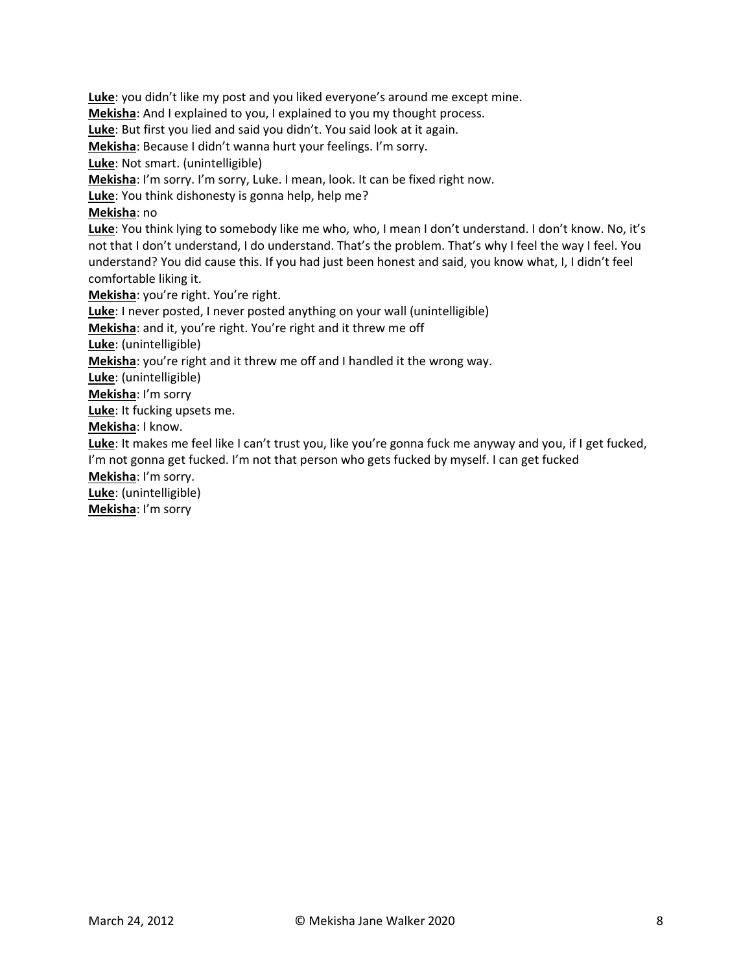**Luke**: you didn't like my post and you liked everyone's around me except mine. **Mekisha**: And I explained to you, I explained to you my thought process. **Luke**: But first you lied and said you didn't. You said look at it again. **Mekisha**: Because I didn't wanna hurt your feelings. I'm sorry. **Luke**: Not smart. (unintelligible) **Mekisha**: I'm sorry. I'm sorry, Luke. I mean, look. It can be fixed right now. **Luke**: You think dishonesty is gonna help, help me? **Mekisha**: no **Luke**: You think lying to somebody like me who, who, I mean I don't understand. I don't know. No, it's not that I don't understand, I do understand. That's the problem. That's why I feel the way I feel. You understand? You did cause this. If you had just been honest and said, you know what, I, I didn't feel comfortable liking it. **Mekisha**: you're right. You're right. **Luke**: I never posted, I never posted anything on your wall (unintelligible) **Mekisha**: and it, you're right. You're right and it threw me off **Luke**: (unintelligible) **Mekisha**: you're right and it threw me off and I handled it the wrong way. **Luke**: (unintelligible) **Mekisha**: I'm sorry **Luke**: It fucking upsets me. **Mekisha**: I know. **Luke**: It makes me feel like I can't trust you, like you're gonna fuck me anyway and you, if I get fucked, I'm not gonna get fucked. I'm not that person who gets fucked by myself. I can get fucked **Mekisha**: I'm sorry. **Luke**: (unintelligible) **Mekisha**: I'm sorry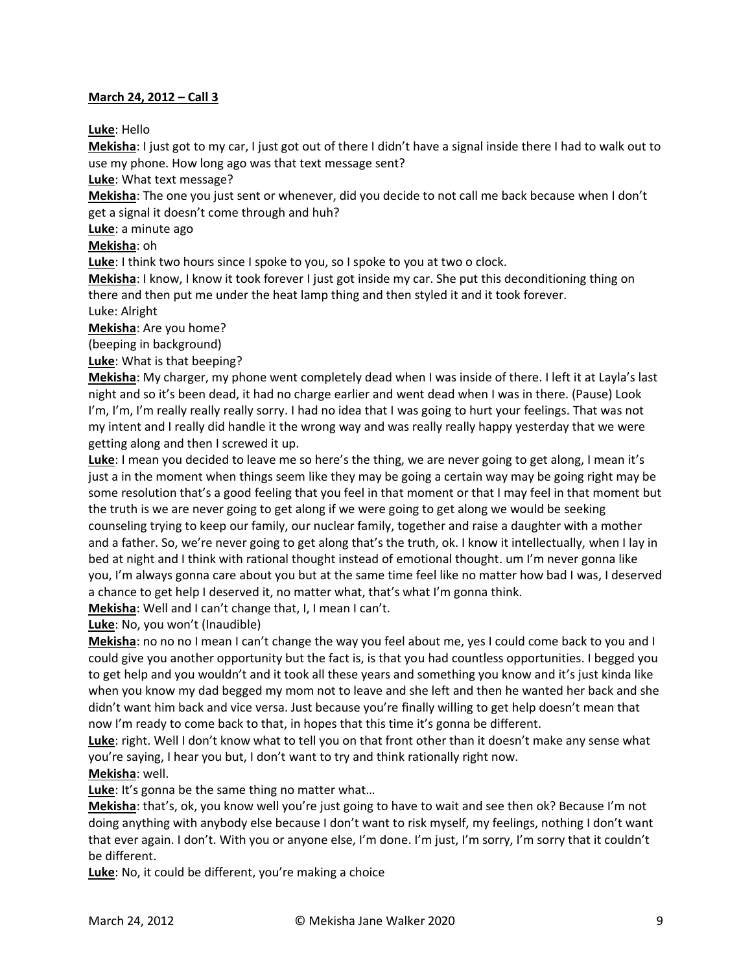#### **March 24, 2012 – Call 3**

**Luke**: Hello

**Mekisha**: I just got to my car, I just got out of there I didn't have a signal inside there I had to walk out to use my phone. How long ago was that text message sent?

**Luke**: What text message?

**Mekisha**: The one you just sent or whenever, did you decide to not call me back because when I don't get a signal it doesn't come through and huh?

**Luke**: a minute ago

**Mekisha**: oh

**Luke**: I think two hours since I spoke to you, so I spoke to you at two o clock.

**Mekisha**: I know, I know it took forever I just got inside my car. She put this deconditioning thing on there and then put me under the heat lamp thing and then styled it and it took forever.

Luke: Alright

**Mekisha**: Are you home?

(beeping in background)

**Luke**: What is that beeping?

**Mekisha**: My charger, my phone went completely dead when I was inside of there. I left it at Layla's last night and so it's been dead, it had no charge earlier and went dead when I was in there. (Pause) Look I'm, I'm, I'm really really really sorry. I had no idea that I was going to hurt your feelings. That was not my intent and I really did handle it the wrong way and was really really happy yesterday that we were getting along and then I screwed it up.

**Luke**: I mean you decided to leave me so here's the thing, we are never going to get along, I mean it's just a in the moment when things seem like they may be going a certain way may be going right may be some resolution that's a good feeling that you feel in that moment or that I may feel in that moment but the truth is we are never going to get along if we were going to get along we would be seeking counseling trying to keep our family, our nuclear family, together and raise a daughter with a mother and a father. So, we're never going to get along that's the truth, ok. I know it intellectually, when I lay in bed at night and I think with rational thought instead of emotional thought. um I'm never gonna like you, I'm always gonna care about you but at the same time feel like no matter how bad I was, I deserved a chance to get help I deserved it, no matter what, that's what I'm gonna think.

**Mekisha**: Well and I can't change that, I, I mean I can't.

**Luke**: No, you won't (Inaudible)

**Mekisha**: no no no I mean I can't change the way you feel about me, yes I could come back to you and I could give you another opportunity but the fact is, is that you had countless opportunities. I begged you to get help and you wouldn't and it took all these years and something you know and it's just kinda like when you know my dad begged my mom not to leave and she left and then he wanted her back and she didn't want him back and vice versa. Just because you're finally willing to get help doesn't mean that now I'm ready to come back to that, in hopes that this time it's gonna be different.

**Luke**: right. Well I don't know what to tell you on that front other than it doesn't make any sense what you're saying, I hear you but, I don't want to try and think rationally right now. **Mekisha**: well.

Luke: It's gonna be the same thing no matter what...

**Mekisha**: that's, ok, you know well you're just going to have to wait and see then ok? Because I'm not doing anything with anybody else because I don't want to risk myself, my feelings, nothing I don't want that ever again. I don't. With you or anyone else, I'm done. I'm just, I'm sorry, I'm sorry that it couldn't be different.

**Luke**: No, it could be different, you're making a choice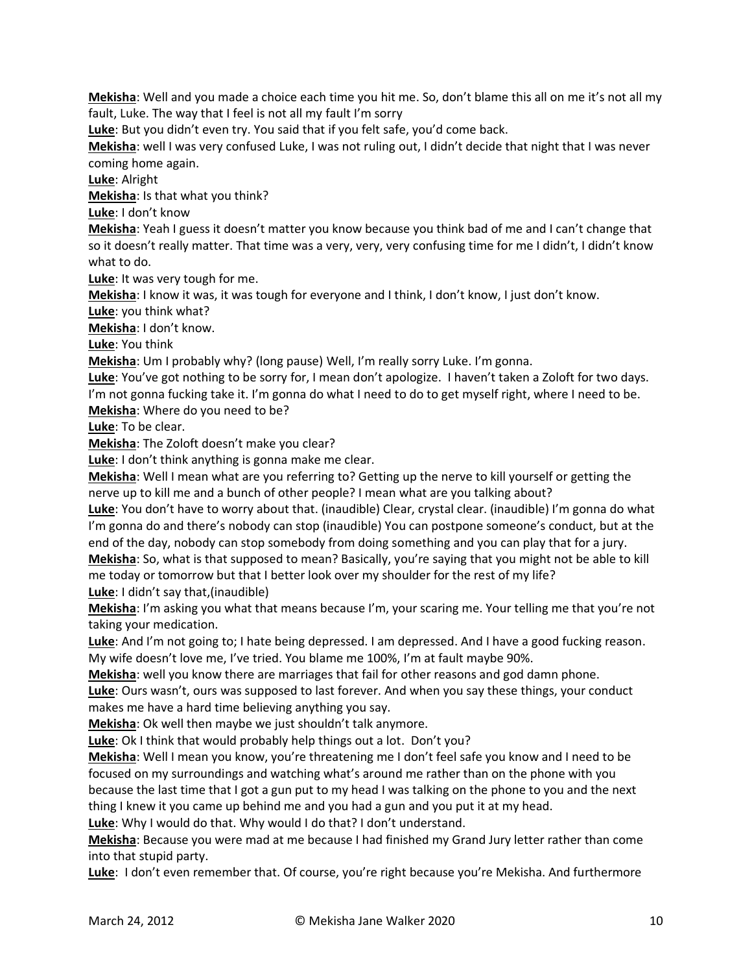**Mekisha**: Well and you made a choice each time you hit me. So, don't blame this all on me it's not all my fault, Luke. The way that I feel is not all my fault I'm sorry

**Luke**: But you didn't even try. You said that if you felt safe, you'd come back.

**Mekisha**: well I was very confused Luke, I was not ruling out, I didn't decide that night that I was never coming home again.

**Luke**: Alright

**Mekisha**: Is that what you think?

**Luke**: I don't know

**Mekisha**: Yeah I guess it doesn't matter you know because you think bad of me and I can't change that so it doesn't really matter. That time was a very, very, very confusing time for me I didn't, I didn't know what to do.

**Luke**: It was very tough for me.

**Mekisha**: I know it was, it was tough for everyone and I think, I don't know, I just don't know.

**Luke**: you think what?

**Mekisha**: I don't know.

**Luke**: You think

**Mekisha**: Um I probably why? (long pause) Well, I'm really sorry Luke. I'm gonna.

**Luke**: You've got nothing to be sorry for, I mean don't apologize. I haven't taken a Zoloft for two days. I'm not gonna fucking take it. I'm gonna do what I need to do to get myself right, where I need to be. **Mekisha**: Where do you need to be?

**Luke**: To be clear.

**Mekisha**: The Zoloft doesn't make you clear?

**Luke**: I don't think anything is gonna make me clear.

**Mekisha**: Well I mean what are you referring to? Getting up the nerve to kill yourself or getting the nerve up to kill me and a bunch of other people? I mean what are you talking about?

**Luke**: You don't have to worry about that. (inaudible) Clear, crystal clear. (inaudible) I'm gonna do what I'm gonna do and there's nobody can stop (inaudible) You can postpone someone's conduct, but at the end of the day, nobody can stop somebody from doing something and you can play that for a jury. **Mekisha**: So, what is that supposed to mean? Basically, you're saying that you might not be able to kill me today or tomorrow but that I better look over my shoulder for the rest of my life?

**Luke**: I didn't say that,(inaudible)

**Mekisha**: I'm asking you what that means because I'm, your scaring me. Your telling me that you're not taking your medication.

**Luke**: And I'm not going to; I hate being depressed. I am depressed. And I have a good fucking reason. My wife doesn't love me, I've tried. You blame me 100%, I'm at fault maybe 90%.

**Mekisha**: well you know there are marriages that fail for other reasons and god damn phone.

**Luke**: Ours wasn't, ours was supposed to last forever. And when you say these things, your conduct makes me have a hard time believing anything you say.

**Mekisha**: Ok well then maybe we just shouldn't talk anymore.

**Luke**: Ok I think that would probably help things out a lot. Don't you?

**Mekisha**: Well I mean you know, you're threatening me I don't feel safe you know and I need to be focused on my surroundings and watching what's around me rather than on the phone with you because the last time that I got a gun put to my head I was talking on the phone to you and the next thing I knew it you came up behind me and you had a gun and you put it at my head.

**Luke**: Why I would do that. Why would I do that? I don't understand.

**Mekisha**: Because you were mad at me because I had finished my Grand Jury letter rather than come into that stupid party.

**Luke**: I don't even remember that. Of course, you're right because you're Mekisha. And furthermore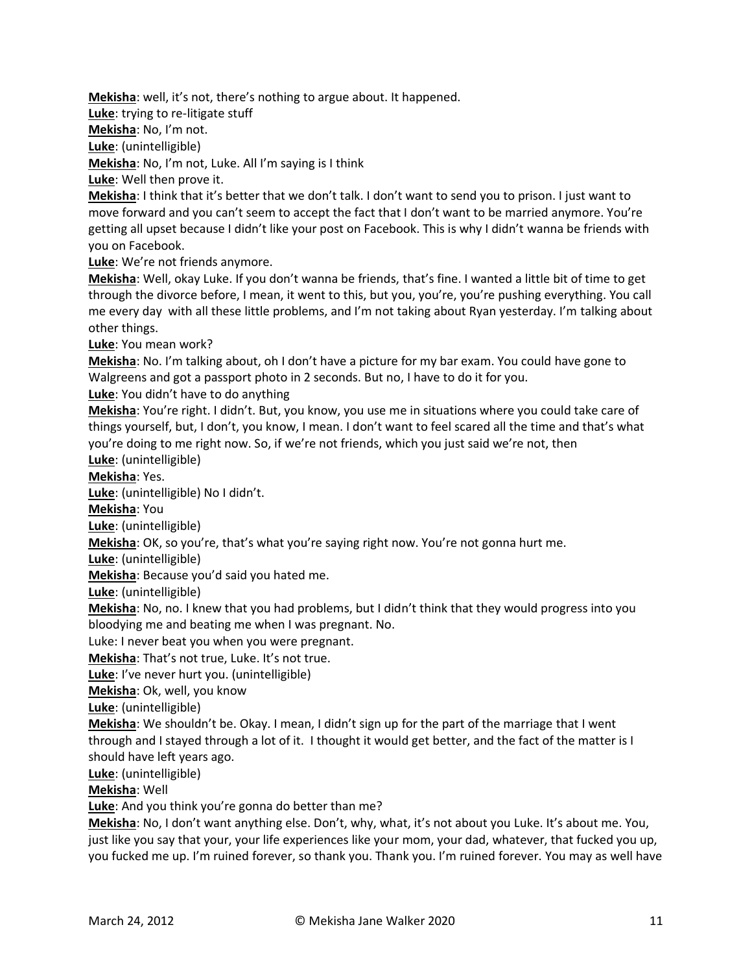**Mekisha**: well, it's not, there's nothing to argue about. It happened.

**Luke**: trying to re-litigate stuff

**Mekisha**: No, I'm not.

**Luke**: (unintelligible)

**Mekisha**: No, I'm not, Luke. All I'm saying is I think

**Luke**: Well then prove it.

**Mekisha**: I think that it's better that we don't talk. I don't want to send you to prison. I just want to move forward and you can't seem to accept the fact that I don't want to be married anymore. You're getting all upset because I didn't like your post on Facebook. This is why I didn't wanna be friends with you on Facebook.

**Luke**: We're not friends anymore.

**Mekisha**: Well, okay Luke. If you don't wanna be friends, that's fine. I wanted a little bit of time to get through the divorce before, I mean, it went to this, but you, you're, you're pushing everything. You call me every day with all these little problems, and I'm not taking about Ryan yesterday. I'm talking about other things.

**Luke**: You mean work?

**Mekisha**: No. I'm talking about, oh I don't have a picture for my bar exam. You could have gone to Walgreens and got a passport photo in 2 seconds. But no, I have to do it for you.

**Luke**: You didn't have to do anything

**Mekisha**: You're right. I didn't. But, you know, you use me in situations where you could take care of things yourself, but, I don't, you know, I mean. I don't want to feel scared all the time and that's what you're doing to me right now. So, if we're not friends, which you just said we're not, then **Luke**: (unintelligible)

**Mekisha**: Yes.

**Luke**: (unintelligible) No I didn't.

**Mekisha**: You

**Luke**: (unintelligible)

**Mekisha**: OK, so you're, that's what you're saying right now. You're not gonna hurt me.

**Luke**: (unintelligible)

**Mekisha**: Because you'd said you hated me.

**Luke**: (unintelligible)

**Mekisha**: No, no. I knew that you had problems, but I didn't think that they would progress into you bloodying me and beating me when I was pregnant. No.

Luke: I never beat you when you were pregnant.

**Mekisha**: That's not true, Luke. It's not true.

**Luke**: I've never hurt you. (unintelligible)

**Mekisha**: Ok, well, you know

**Luke**: (unintelligible)

**Mekisha**: We shouldn't be. Okay. I mean, I didn't sign up for the part of the marriage that I went through and I stayed through a lot of it. I thought it would get better, and the fact of the matter is I should have left years ago.

**Luke**: (unintelligible)

**Mekisha**: Well

**Luke**: And you think you're gonna do better than me?

**Mekisha**: No, I don't want anything else. Don't, why, what, it's not about you Luke. It's about me. You, just like you say that your, your life experiences like your mom, your dad, whatever, that fucked you up, you fucked me up. I'm ruined forever, so thank you. Thank you. I'm ruined forever. You may as well have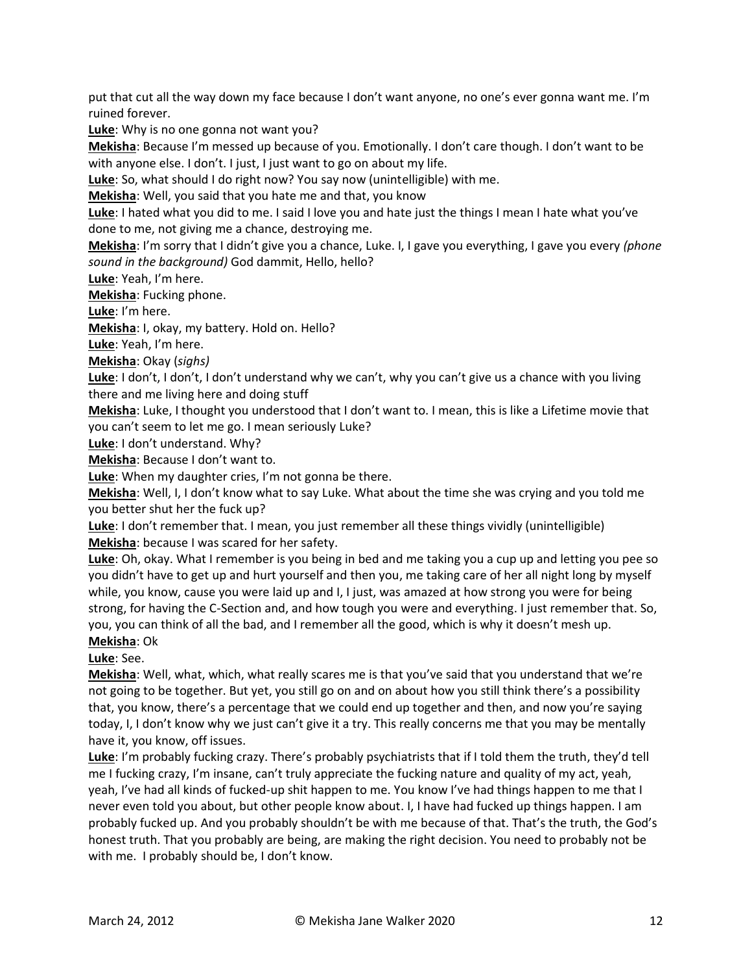put that cut all the way down my face because I don't want anyone, no one's ever gonna want me. I'm ruined forever.

**Luke**: Why is no one gonna not want you?

**Mekisha**: Because I'm messed up because of you. Emotionally. I don't care though. I don't want to be with anyone else. I don't. I just, I just want to go on about my life.

**Luke**: So, what should I do right now? You say now (unintelligible) with me.

**Mekisha**: Well, you said that you hate me and that, you know

**Luke**: I hated what you did to me. I said I love you and hate just the things I mean I hate what you've done to me, not giving me a chance, destroying me.

**Mekisha**: I'm sorry that I didn't give you a chance, Luke. I, I gave you everything, I gave you every *(phone sound in the background)* God dammit, Hello, hello?

**Luke**: Yeah, I'm here.

**Mekisha**: Fucking phone.

**Luke**: I'm here.

**Mekisha**: I, okay, my battery. Hold on. Hello?

**Luke**: Yeah, I'm here.

**Mekisha**: Okay (*sighs)*

**Luke**: I don't, I don't, I don't understand why we can't, why you can't give us a chance with you living there and me living here and doing stuff

**Mekisha**: Luke, I thought you understood that I don't want to. I mean, this is like a Lifetime movie that you can't seem to let me go. I mean seriously Luke?

**Luke**: I don't understand. Why?

**Mekisha**: Because I don't want to.

**Luke**: When my daughter cries, I'm not gonna be there.

**Mekisha**: Well, I, I don't know what to say Luke. What about the time she was crying and you told me you better shut her the fuck up?

**Luke**: I don't remember that. I mean, you just remember all these things vividly (unintelligible) **Mekisha**: because I was scared for her safety.

**Luke**: Oh, okay. What I remember is you being in bed and me taking you a cup up and letting you pee so you didn't have to get up and hurt yourself and then you, me taking care of her all night long by myself while, you know, cause you were laid up and I, I just, was amazed at how strong you were for being strong, for having the C-Section and, and how tough you were and everything. I just remember that. So, you, you can think of all the bad, and I remember all the good, which is why it doesn't mesh up. **Mekisha**: Ok

**Luke**: See.

**Mekisha**: Well, what, which, what really scares me is that you've said that you understand that we're not going to be together. But yet, you still go on and on about how you still think there's a possibility that, you know, there's a percentage that we could end up together and then, and now you're saying today, I, I don't know why we just can't give it a try. This really concerns me that you may be mentally have it, you know, off issues.

**Luke**: I'm probably fucking crazy. There's probably psychiatrists that if I told them the truth, they'd tell me I fucking crazy, I'm insane, can't truly appreciate the fucking nature and quality of my act, yeah, yeah, I've had all kinds of fucked-up shit happen to me. You know I've had things happen to me that I never even told you about, but other people know about. I, I have had fucked up things happen. I am probably fucked up. And you probably shouldn't be with me because of that. That's the truth, the God's honest truth. That you probably are being, are making the right decision. You need to probably not be with me. I probably should be, I don't know.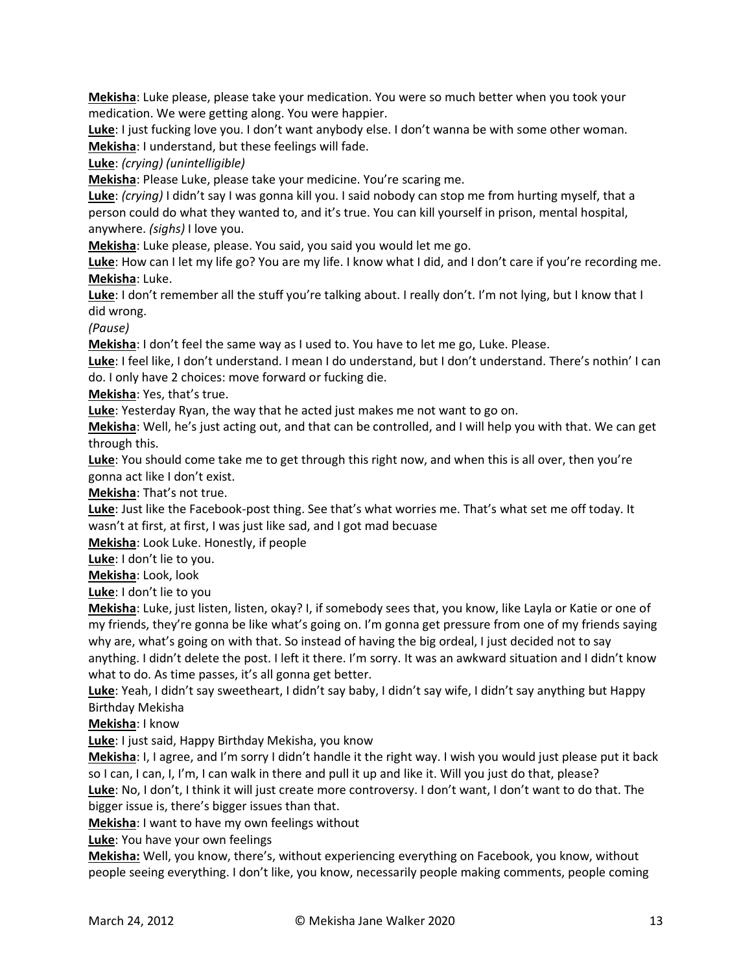**Mekisha**: Luke please, please take your medication. You were so much better when you took your medication. We were getting along. You were happier.

**Luke**: I just fucking love you. I don't want anybody else. I don't wanna be with some other woman. **Mekisha**: I understand, but these feelings will fade.

**Luke**: *(crying) (unintelligible)* 

**Mekisha**: Please Luke, please take your medicine. You're scaring me.

**Luke**: *(crying)* I didn't say I was gonna kill you. I said nobody can stop me from hurting myself, that a person could do what they wanted to, and it's true. You can kill yourself in prison, mental hospital, anywhere. *(sighs)* I love you.

**Mekisha**: Luke please, please. You said, you said you would let me go.

**Luke**: How can I let my life go? You are my life. I know what I did, and I don't care if you're recording me. **Mekisha**: Luke.

**Luke**: I don't remember all the stuff you're talking about. I really don't. I'm not lying, but I know that I did wrong.

*(Pause)*

**Mekisha**: I don't feel the same way as I used to. You have to let me go, Luke. Please.

**Luke**: I feel like, I don't understand. I mean I do understand, but I don't understand. There's nothin' I can do. I only have 2 choices: move forward or fucking die.

**Mekisha**: Yes, that's true.

**Luke**: Yesterday Ryan, the way that he acted just makes me not want to go on.

**Mekisha**: Well, he's just acting out, and that can be controlled, and I will help you with that. We can get through this.

**Luke**: You should come take me to get through this right now, and when this is all over, then you're gonna act like I don't exist.

**Mekisha**: That's not true.

**Luke**: Just like the Facebook-post thing. See that's what worries me. That's what set me off today. It wasn't at first, at first, I was just like sad, and I got mad becuase

**Mekisha**: Look Luke. Honestly, if people

**Luke**: I don't lie to you.

**Mekisha**: Look, look

**Luke**: I don't lie to you

**Mekisha**: Luke, just listen, listen, okay? I, if somebody sees that, you know, like Layla or Katie or one of my friends, they're gonna be like what's going on. I'm gonna get pressure from one of my friends saying why are, what's going on with that. So instead of having the big ordeal, I just decided not to say anything. I didn't delete the post. I left it there. I'm sorry. It was an awkward situation and I didn't know what to do. As time passes, it's all gonna get better.

**Luke**: Yeah, I didn't say sweetheart, I didn't say baby, I didn't say wife, I didn't say anything but Happy Birthday Mekisha

**Mekisha**: I know

**Luke**: I just said, Happy Birthday Mekisha, you know

**Mekisha**: I, I agree, and I'm sorry I didn't handle it the right way. I wish you would just please put it back so I can, I can, I, I'm, I can walk in there and pull it up and like it. Will you just do that, please?

**Luke**: No, I don't, I think it will just create more controversy. I don't want, I don't want to do that. The bigger issue is, there's bigger issues than that.

**Mekisha**: I want to have my own feelings without

**Luke**: You have your own feelings

**Mekisha:** Well, you know, there's, without experiencing everything on Facebook, you know, without people seeing everything. I don't like, you know, necessarily people making comments, people coming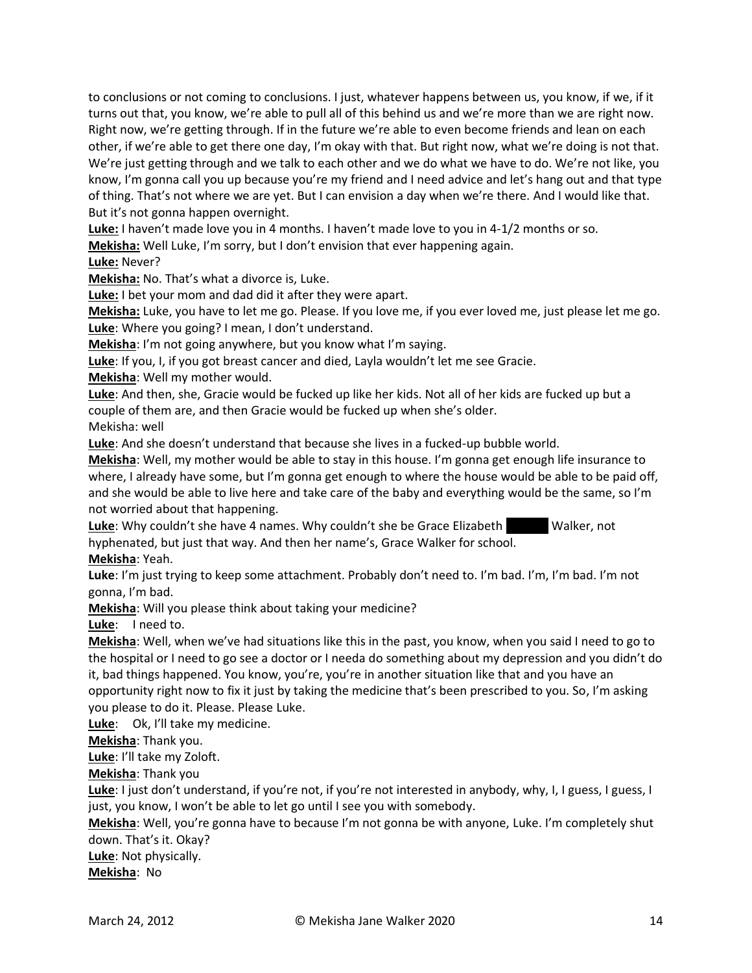to conclusions or not coming to conclusions. I just, whatever happens between us, you know, if we, if it turns out that, you know, we're able to pull all of this behind us and we're more than we are right now. Right now, we're getting through. If in the future we're able to even become friends and lean on each other, if we're able to get there one day, I'm okay with that. But right now, what we're doing is not that. We're just getting through and we talk to each other and we do what we have to do. We're not like, you know, I'm gonna call you up because you're my friend and I need advice and let's hang out and that type of thing. That's not where we are yet. But I can envision a day when we're there. And I would like that. But it's not gonna happen overnight.

**Luke:** I haven't made love you in 4 months. I haven't made love to you in 4-1/2 months or so.

**Mekisha:** Well Luke, I'm sorry, but I don't envision that ever happening again.

**Luke:** Never?

**Mekisha:** No. That's what a divorce is, Luke.

**Luke:** I bet your mom and dad did it after they were apart.

**Mekisha:** Luke, you have to let me go. Please. If you love me, if you ever loved me, just please let me go. **Luke**: Where you going? I mean, I don't understand.

**Mekisha**: I'm not going anywhere, but you know what I'm saying.

**Luke**: If you, I, if you got breast cancer and died, Layla wouldn't let me see Gracie.

**Mekisha**: Well my mother would.

**Luke**: And then, she, Gracie would be fucked up like her kids. Not all of her kids are fucked up but a couple of them are, and then Gracie would be fucked up when she's older. Mekisha: well

**Luke**: And she doesn't understand that because she lives in a fucked-up bubble world.

**Mekisha**: Well, my mother would be able to stay in this house. I'm gonna get enough life insurance to where, I already have some, but I'm gonna get enough to where the house would be able to be paid off, and she would be able to live here and take care of the baby and everything would be the same, so I'm not worried about that happening.

Luke: Why couldn't she have 4 names. Why couldn't she be Grace Elizabeth Walker, not hyphenated, but just that way. And then her name's, Grace Walker for school.

**Mekisha**: Yeah.

**Luke**: I'm just trying to keep some attachment. Probably don't need to. I'm bad. I'm, I'm bad. I'm not gonna, I'm bad.

**Mekisha**: Will you please think about taking your medicine?

**Luke**: I need to.

**Mekisha**: Well, when we've had situations like this in the past, you know, when you said I need to go to the hospital or I need to go see a doctor or I needa do something about my depression and you didn't do it, bad things happened. You know, you're, you're in another situation like that and you have an opportunity right now to fix it just by taking the medicine that's been prescribed to you. So, I'm asking you please to do it. Please. Please Luke.

**Luke**: Ok, I'll take my medicine.

**Mekisha**: Thank you.

**Luke**: I'll take my Zoloft.

**Mekisha**: Thank you

**Luke**: I just don't understand, if you're not, if you're not interested in anybody, why, I, I guess, I guess, I just, you know, I won't be able to let go until I see you with somebody.

**Mekisha**: Well, you're gonna have to because I'm not gonna be with anyone, Luke. I'm completely shut down. That's it. Okay?

**Luke**: Not physically.

**Mekisha**: No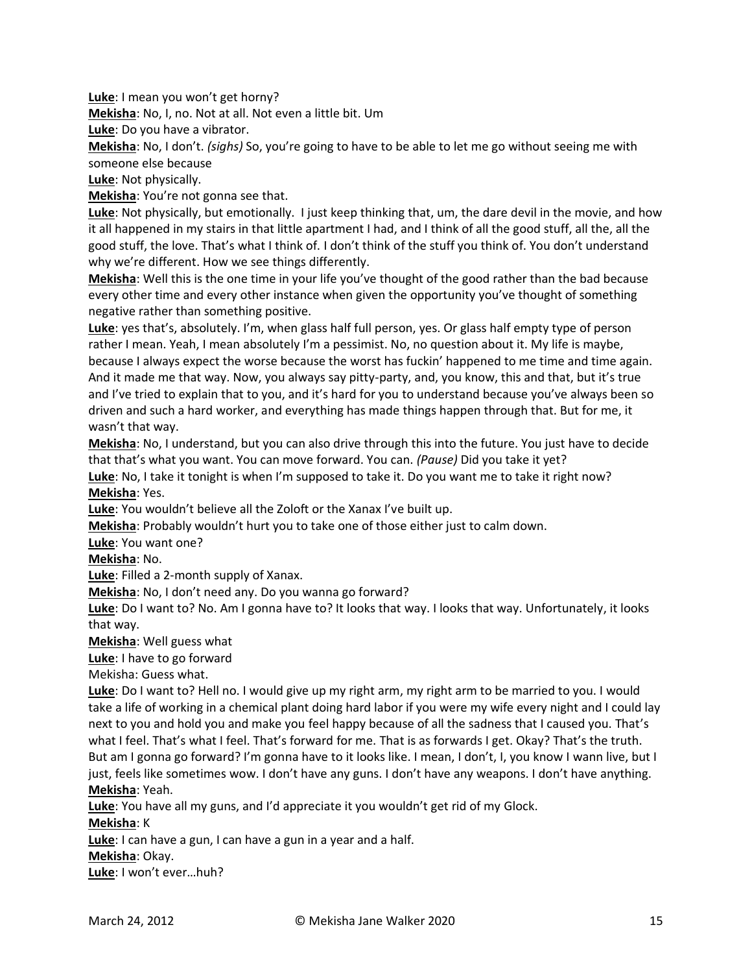**Luke**: I mean you won't get horny?

**Mekisha**: No, I, no. Not at all. Not even a little bit. Um

**Luke**: Do you have a vibrator.

**Mekisha**: No, I don't. *(sighs)* So, you're going to have to be able to let me go without seeing me with someone else because

**Luke**: Not physically.

**Mekisha**: You're not gonna see that.

**Luke**: Not physically, but emotionally. I just keep thinking that, um, the dare devil in the movie, and how it all happened in my stairs in that little apartment I had, and I think of all the good stuff, all the, all the good stuff, the love. That's what I think of. I don't think of the stuff you think of. You don't understand why we're different. How we see things differently.

**Mekisha**: Well this is the one time in your life you've thought of the good rather than the bad because every other time and every other instance when given the opportunity you've thought of something negative rather than something positive.

**Luke**: yes that's, absolutely. I'm, when glass half full person, yes. Or glass half empty type of person rather I mean. Yeah, I mean absolutely I'm a pessimist. No, no question about it. My life is maybe, because I always expect the worse because the worst has fuckin' happened to me time and time again. And it made me that way. Now, you always say pitty-party, and, you know, this and that, but it's true and I've tried to explain that to you, and it's hard for you to understand because you've always been so driven and such a hard worker, and everything has made things happen through that. But for me, it wasn't that way.

**Mekisha**: No, I understand, but you can also drive through this into the future. You just have to decide that that's what you want. You can move forward. You can. *(Pause)* Did you take it yet?

**Luke**: No, I take it tonight is when I'm supposed to take it. Do you want me to take it right now? **Mekisha**: Yes.

**Luke**: You wouldn't believe all the Zoloft or the Xanax I've built up.

**Mekisha**: Probably wouldn't hurt you to take one of those either just to calm down.

**Luke**: You want one?

**Mekisha**: No.

**Luke**: Filled a 2-month supply of Xanax.

**Mekisha**: No, I don't need any. Do you wanna go forward?

**Luke**: Do I want to? No. Am I gonna have to? It looks that way. I looks that way. Unfortunately, it looks that way.

**Mekisha**: Well guess what

**Luke**: I have to go forward

Mekisha: Guess what.

**Luke**: Do I want to? Hell no. I would give up my right arm, my right arm to be married to you. I would take a life of working in a chemical plant doing hard labor if you were my wife every night and I could lay next to you and hold you and make you feel happy because of all the sadness that I caused you. That's what I feel. That's what I feel. That's forward for me. That is as forwards I get. Okay? That's the truth. But am I gonna go forward? I'm gonna have to it looks like. I mean, I don't, I, you know I wann live, but I just, feels like sometimes wow. I don't have any guns. I don't have any weapons. I don't have anything. **Mekisha**: Yeah.

**Luke**: You have all my guns, and I'd appreciate it you wouldn't get rid of my Glock.

**Mekisha**: K

**Luke**: I can have a gun, I can have a gun in a year and a half.

**Mekisha**: Okay.

**Luke**: I won't ever…huh?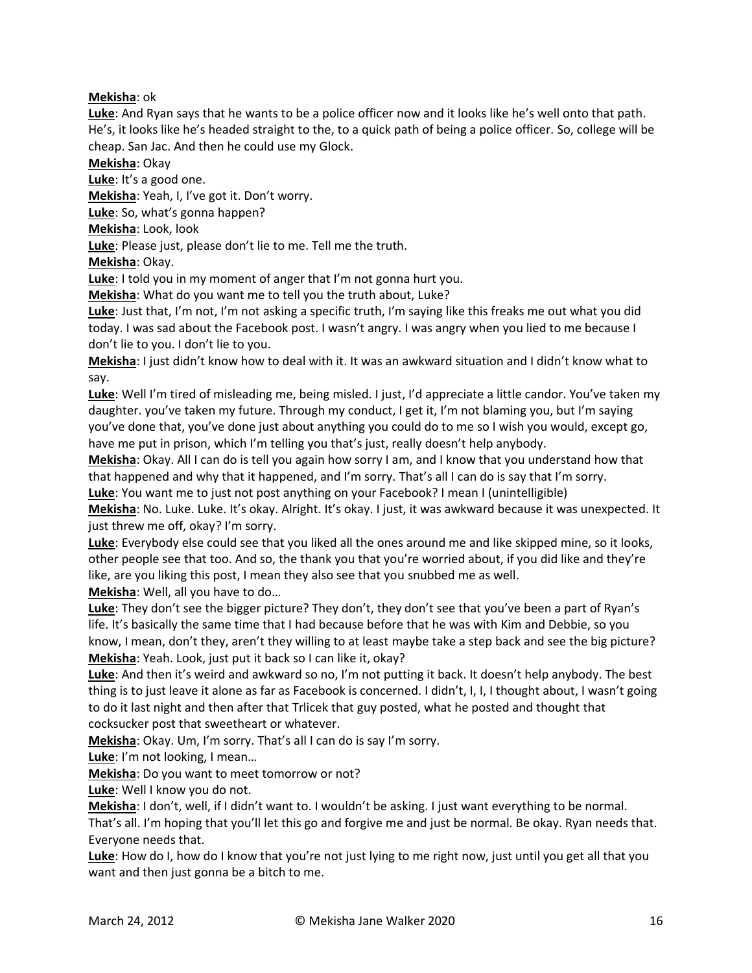# **Mekisha**: ok

**Luke**: And Ryan says that he wants to be a police officer now and it looks like he's well onto that path. He's, it looks like he's headed straight to the, to a quick path of being a police officer. So, college will be cheap. San Jac. And then he could use my Glock.

**Mekisha**: Okay

**Luke**: It's a good one.

**Mekisha**: Yeah, I, I've got it. Don't worry.

**Luke**: So, what's gonna happen?

**Mekisha**: Look, look

**Luke**: Please just, please don't lie to me. Tell me the truth.

**Mekisha**: Okay.

**Luke**: I told you in my moment of anger that I'm not gonna hurt you.

**Mekisha**: What do you want me to tell you the truth about, Luke?

**Luke**: Just that, I'm not, I'm not asking a specific truth, I'm saying like this freaks me out what you did today. I was sad about the Facebook post. I wasn't angry. I was angry when you lied to me because I don't lie to you. I don't lie to you.

**Mekisha**: I just didn't know how to deal with it. It was an awkward situation and I didn't know what to say.

**Luke**: Well I'm tired of misleading me, being misled. I just, I'd appreciate a little candor. You've taken my daughter. you've taken my future. Through my conduct, I get it, I'm not blaming you, but I'm saying you've done that, you've done just about anything you could do to me so I wish you would, except go, have me put in prison, which I'm telling you that's just, really doesn't help anybody.

**Mekisha**: Okay. All I can do is tell you again how sorry I am, and I know that you understand how that that happened and why that it happened, and I'm sorry. That's all I can do is say that I'm sorry.

**Luke**: You want me to just not post anything on your Facebook? I mean I (unintelligible)

**Mekisha**: No. Luke. Luke. It's okay. Alright. It's okay. I just, it was awkward because it was unexpected. It just threw me off, okay? I'm sorry.

**Luke**: Everybody else could see that you liked all the ones around me and like skipped mine, so it looks, other people see that too. And so, the thank you that you're worried about, if you did like and they're like, are you liking this post, I mean they also see that you snubbed me as well.

**Mekisha**: Well, all you have to do…

**Luke**: They don't see the bigger picture? They don't, they don't see that you've been a part of Ryan's life. It's basically the same time that I had because before that he was with Kim and Debbie, so you know, I mean, don't they, aren't they willing to at least maybe take a step back and see the big picture? **Mekisha**: Yeah. Look, just put it back so I can like it, okay?

**Luke**: And then it's weird and awkward so no, I'm not putting it back. It doesn't help anybody. The best thing is to just leave it alone as far as Facebook is concerned. I didn't, I, I, I thought about, I wasn't going to do it last night and then after that Trlicek that guy posted, what he posted and thought that cocksucker post that sweetheart or whatever.

**Mekisha**: Okay. Um, I'm sorry. That's all I can do is say I'm sorry.

**Luke**: I'm not looking, I mean…

**Mekisha**: Do you want to meet tomorrow or not?

**Luke**: Well I know you do not.

**Mekisha**: I don't, well, if I didn't want to. I wouldn't be asking. I just want everything to be normal. That's all. I'm hoping that you'll let this go and forgive me and just be normal. Be okay. Ryan needs that. Everyone needs that.

**Luke**: How do I, how do I know that you're not just lying to me right now, just until you get all that you want and then just gonna be a bitch to me.